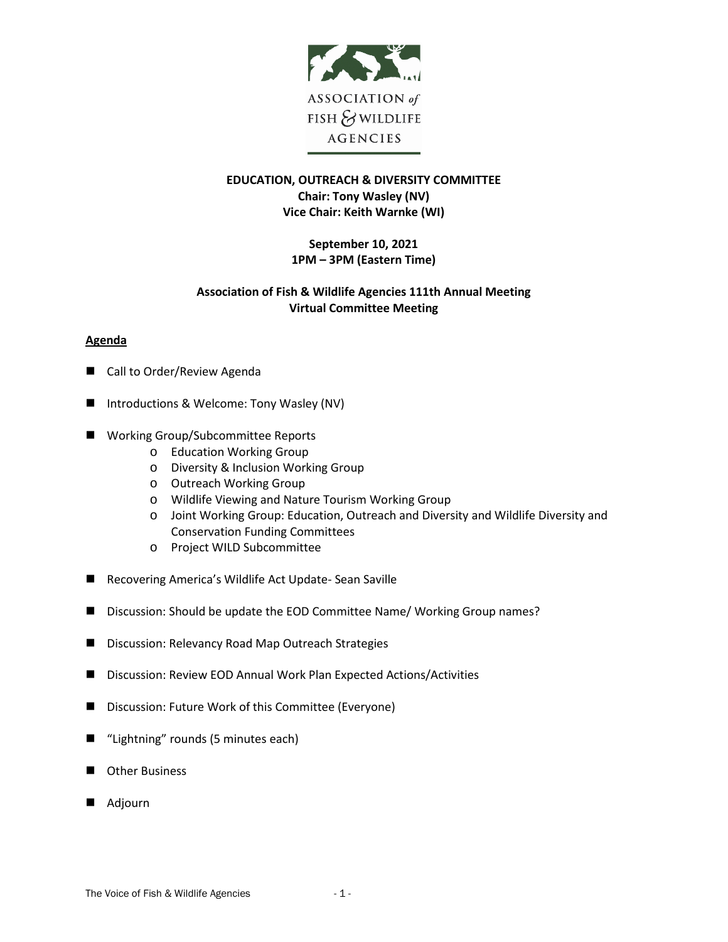

# **EDUCATION, OUTREACH & DIVERSITY COMMITTEE Chair: Tony Wasley (NV) Vice Chair: Keith Warnke (WI)**

## **September 10, 2021 1PM – 3PM (Eastern Time)**

# **Association of Fish & Wildlife Agencies 111th Annual Meeting Virtual Committee Meeting**

### **Agenda**

- Call to Order/Review Agenda
- Introductions & Welcome: Tony Wasley (NV)
- Working Group/Subcommittee Reports
	- o Education Working Group
	- o Diversity & Inclusion Working Group
	- o Outreach Working Group
	- o Wildlife Viewing and Nature Tourism Working Group
	- o Joint Working Group: Education, Outreach and Diversity and Wildlife Diversity and Conservation Funding Committees
	- o Project WILD Subcommittee
- Recovering America's Wildlife Act Update- Sean Saville
- Discussion: Should be update the EOD Committee Name/ Working Group names?
- Discussion: Relevancy Road Map Outreach Strategies
- Discussion: Review EOD Annual Work Plan Expected Actions/Activities
- Discussion: Future Work of this Committee (Everyone)
- "Lightning" rounds (5 minutes each)
- **D** Other Business
- Adjourn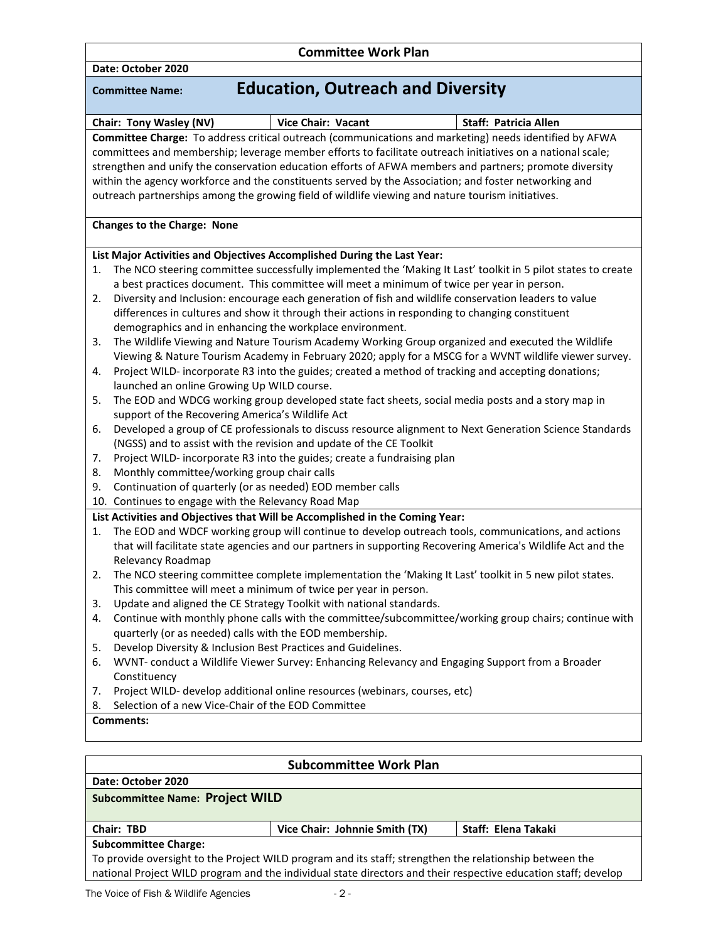|                                                                                                                                                                                                                                                                                                                                                                                                                                                                                                                                               | <b>Committee Work Plan</b>                                                                                                                                                                          |                              |  |  |
|-----------------------------------------------------------------------------------------------------------------------------------------------------------------------------------------------------------------------------------------------------------------------------------------------------------------------------------------------------------------------------------------------------------------------------------------------------------------------------------------------------------------------------------------------|-----------------------------------------------------------------------------------------------------------------------------------------------------------------------------------------------------|------------------------------|--|--|
| Date: October 2020                                                                                                                                                                                                                                                                                                                                                                                                                                                                                                                            |                                                                                                                                                                                                     |                              |  |  |
| <b>Committee Name:</b>                                                                                                                                                                                                                                                                                                                                                                                                                                                                                                                        | <b>Education, Outreach and Diversity</b>                                                                                                                                                            |                              |  |  |
| Chair: Tony Wasley (NV)                                                                                                                                                                                                                                                                                                                                                                                                                                                                                                                       | <b>Vice Chair: Vacant</b>                                                                                                                                                                           | <b>Staff: Patricia Allen</b> |  |  |
| Committee Charge: To address critical outreach (communications and marketing) needs identified by AFWA<br>committees and membership; leverage member efforts to facilitate outreach initiatives on a national scale;<br>strengthen and unify the conservation education efforts of AFWA members and partners; promote diversity<br>within the agency workforce and the constituents served by the Association; and foster networking and<br>outreach partnerships among the growing field of wildlife viewing and nature tourism initiatives. |                                                                                                                                                                                                     |                              |  |  |
| <b>Changes to the Charge: None</b>                                                                                                                                                                                                                                                                                                                                                                                                                                                                                                            |                                                                                                                                                                                                     |                              |  |  |
| List Major Activities and Objectives Accomplished During the Last Year:                                                                                                                                                                                                                                                                                                                                                                                                                                                                       |                                                                                                                                                                                                     |                              |  |  |
| The NCO steering committee successfully implemented the 'Making It Last' toolkit in 5 pilot states to create<br>1.<br>a best practices document. This committee will meet a minimum of twice per year in person.<br>Diversity and Inclusion: encourage each generation of fish and wildlife conservation leaders to value<br>2.<br>differences in cultures and show it through their actions in responding to changing constituent<br>demographics and in enhancing the workplace environment.                                                |                                                                                                                                                                                                     |                              |  |  |
| The Wildlife Viewing and Nature Tourism Academy Working Group organized and executed the Wildlife<br>3.<br>Viewing & Nature Tourism Academy in February 2020; apply for a MSCG for a WVNT wildlife viewer survey.<br>Project WILD- incorporate R3 into the guides; created a method of tracking and accepting donations;<br>4.                                                                                                                                                                                                                |                                                                                                                                                                                                     |                              |  |  |
| 5.                                                                                                                                                                                                                                                                                                                                                                                                                                                                                                                                            | launched an online Growing Up WILD course.<br>The EOD and WDCG working group developed state fact sheets, social media posts and a story map in<br>support of the Recovering America's Wildlife Act |                              |  |  |
| Developed a group of CE professionals to discuss resource alignment to Next Generation Science Standards<br>6.<br>(NGSS) and to assist with the revision and update of the CE Toolkit<br>Project WILD- incorporate R3 into the guides; create a fundraising plan<br>7.<br>Monthly committee/working group chair calls<br>8.<br>Continuation of quarterly (or as needed) EOD member calls<br>9.                                                                                                                                                |                                                                                                                                                                                                     |                              |  |  |
| 10. Continues to engage with the Relevancy Road Map                                                                                                                                                                                                                                                                                                                                                                                                                                                                                           |                                                                                                                                                                                                     |                              |  |  |
| List Activities and Objectives that Will be Accomplished in the Coming Year:<br>The EOD and WDCF working group will continue to develop outreach tools, communications, and actions<br>1.<br>that will facilitate state agencies and our partners in supporting Recovering America's Wildlife Act and the<br>Relevancy Roadmap                                                                                                                                                                                                                |                                                                                                                                                                                                     |                              |  |  |
| The NCO steering committee complete implementation the 'Making It Last' toolkit in 5 new pilot states.<br>2.<br>This committee will meet a minimum of twice per year in person.                                                                                                                                                                                                                                                                                                                                                               |                                                                                                                                                                                                     |                              |  |  |
| Update and aligned the CE Strategy Toolkit with national standards.<br>3.<br>Continue with monthly phone calls with the committee/subcommittee/working group chairs; continue with<br>4.<br>quarterly (or as needed) calls with the EOD membership.                                                                                                                                                                                                                                                                                           |                                                                                                                                                                                                     |                              |  |  |
| Develop Diversity & Inclusion Best Practices and Guidelines.<br>5.<br>WVNT- conduct a Wildlife Viewer Survey: Enhancing Relevancy and Engaging Support from a Broader<br>6.<br>Constituency<br>Project WILD- develop additional online resources (webinars, courses, etc)<br>7.                                                                                                                                                                                                                                                               |                                                                                                                                                                                                     |                              |  |  |
| Selection of a new Vice-Chair of the EOD Committee<br>8.                                                                                                                                                                                                                                                                                                                                                                                                                                                                                      |                                                                                                                                                                                                     |                              |  |  |
| Comments:                                                                                                                                                                                                                                                                                                                                                                                                                                                                                                                                     |                                                                                                                                                                                                     |                              |  |  |
|                                                                                                                                                                                                                                                                                                                                                                                                                                                                                                                                               |                                                                                                                                                                                                     |                              |  |  |
| <b>Subcommittee Work Plan</b><br>Date: October 2020                                                                                                                                                                                                                                                                                                                                                                                                                                                                                           |                                                                                                                                                                                                     |                              |  |  |
| <b>Subcommittee Name: Project WILD</b>                                                                                                                                                                                                                                                                                                                                                                                                                                                                                                        |                                                                                                                                                                                                     |                              |  |  |
| Chair: TBD                                                                                                                                                                                                                                                                                                                                                                                                                                                                                                                                    | Vice Chair: Johnnie Smith (TX)                                                                                                                                                                      | Staff: Elena Takaki          |  |  |
| <b>Subcommittee Charge:</b>                                                                                                                                                                                                                                                                                                                                                                                                                                                                                                                   |                                                                                                                                                                                                     |                              |  |  |

To provide oversight to the Project WILD program and its staff; strengthen the relationship between the national Project WILD program and the individual state directors and their respective education staff; develop

Г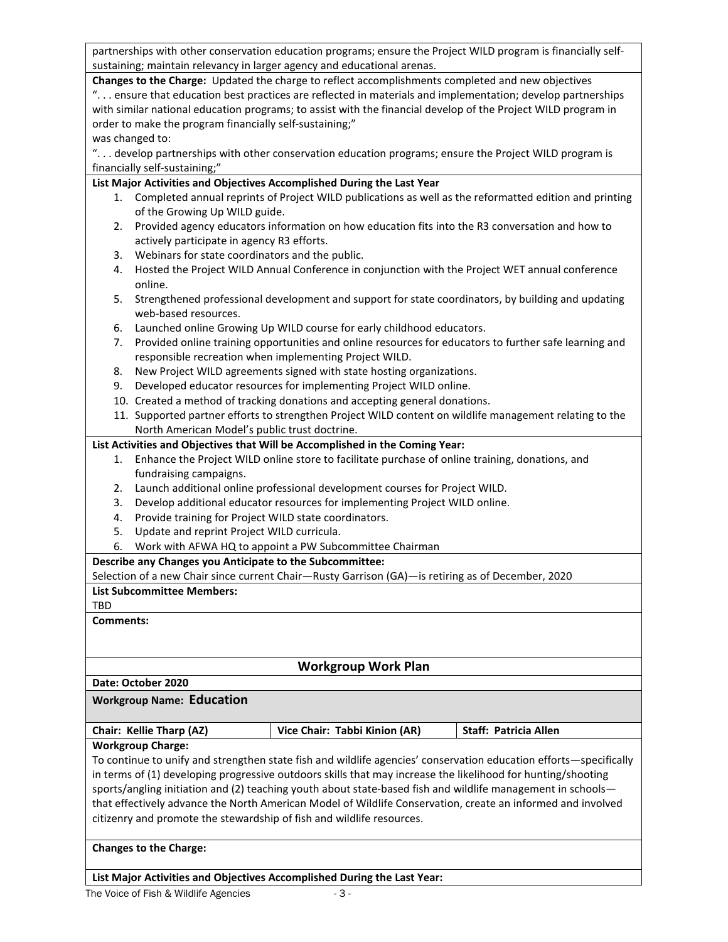partnerships with other conservation education programs; ensure the Project WILD program is financially selfsustaining; maintain relevancy in larger agency and educational arenas.

**Changes to the Charge:** Updated the charge to reflect accomplishments completed and new objectives ". . . ensure that education best practices are reflected in materials and implementation; develop partnerships with similar national education programs; to assist with the financial develop of the Project WILD program in order to make the program financially self-sustaining;" was changed to:

". . . develop partnerships with other conservation education programs; ensure the Project WILD program is financially self-sustaining;"

### **List Major Activities and Objectives Accomplished During the Last Year**

- 1. Completed annual reprints of Project WILD publications as well as the reformatted edition and printing of the Growing Up WILD guide.
- 2. Provided agency educators information on how education fits into the R3 conversation and how to actively participate in agency R3 efforts.
- 3. Webinars for state coordinators and the public.
- 4. Hosted the Project WILD Annual Conference in conjunction with the Project WET annual conference online.
- 5. Strengthened professional development and support for state coordinators, by building and updating web-based resources.
- 6. Launched online Growing Up WILD course for early childhood educators.
- 7. Provided online training opportunities and online resources for educators to further safe learning and responsible recreation when implementing Project WILD.
- 8. New Project WILD agreements signed with state hosting organizations.
- 9. Developed educator resources for implementing Project WILD online.
- 10. Created a method of tracking donations and accepting general donations.
- 11. Supported partner efforts to strengthen Project WILD content on wildlife management relating to the North American Model's public trust doctrine.

### **List Activities and Objectives that Will be Accomplished in the Coming Year:**

- 1. Enhance the Project WILD online store to facilitate purchase of online training, donations, and fundraising campaigns.
- 2. Launch additional online professional development courses for Project WILD.
- 3. Develop additional educator resources for implementing Project WILD online.
- 4. Provide training for Project WILD state coordinators.
- 5. Update and reprint Project WILD curricula.
- 6. Work with AFWA HQ to appoint a PW Subcommittee Chairman

### **Describe any Changes you Anticipate to the Subcommittee:**

Selection of a new Chair since current Chair—Rusty Garrison (GA)—is retiring as of December, 2020

### **List Subcommittee Members:**

TBD

### **Comments:**

# **Workgroup Work Plan**

# **Date: October 2020**

### **Workgroup Name: Education**

| Chair: Kellie Tharp (AZ) | Vice Chair: Tabbi Kinion (AR) | Staff: Patricia Allen |
|--------------------------|-------------------------------|-----------------------|
|                          |                               |                       |

### **Workgroup Charge:**

To continue to unify and strengthen state fish and wildlife agencies' conservation education efforts—specifically in terms of (1) developing progressive outdoors skills that may increase the likelihood for hunting/shooting sports/angling initiation and (2) teaching youth about state-based fish and wildlife management in schoolsthat effectively advance the North American Model of Wildlife Conservation, create an informed and involved citizenry and promote the stewardship of fish and wildlife resources.

### **Changes to the Charge:**

**List Major Activities and Objectives Accomplished During the Last Year:**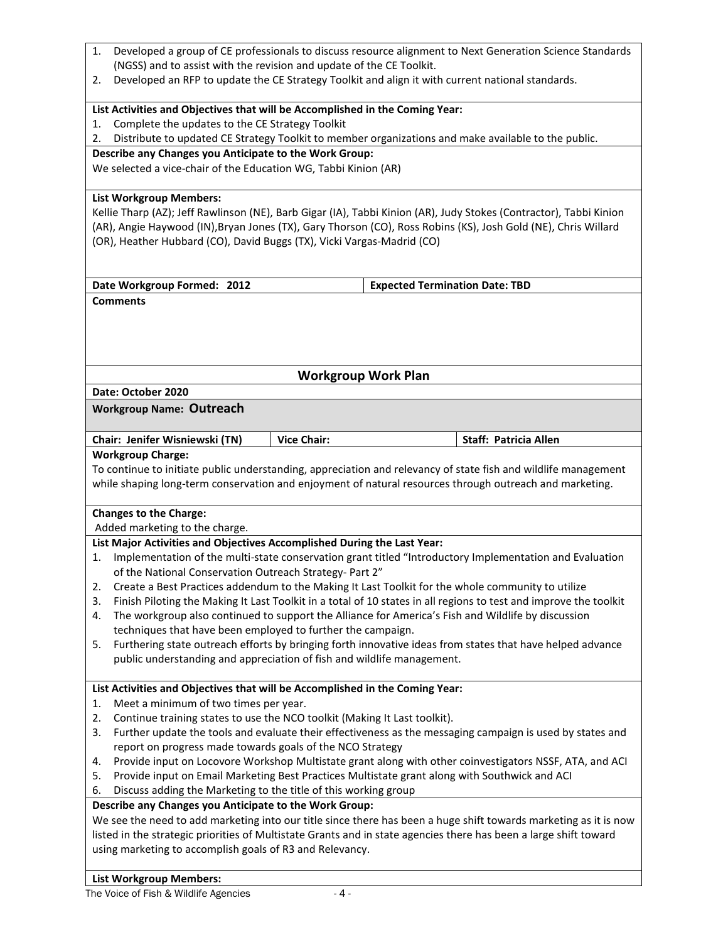| 2.                                                                    |                                                                                                                                                                                                                           |  |  |  |
|-----------------------------------------------------------------------|---------------------------------------------------------------------------------------------------------------------------------------------------------------------------------------------------------------------------|--|--|--|
|                                                                       | (NGSS) and to assist with the revision and update of the CE Toolkit.                                                                                                                                                      |  |  |  |
|                                                                       | Developed an RFP to update the CE Strategy Toolkit and align it with current national standards.                                                                                                                          |  |  |  |
|                                                                       | List Activities and Objectives that will be Accomplished in the Coming Year:                                                                                                                                              |  |  |  |
| Complete the updates to the CE Strategy Toolkit<br>1.                 |                                                                                                                                                                                                                           |  |  |  |
| 2.                                                                    | Distribute to updated CE Strategy Toolkit to member organizations and make available to the public.                                                                                                                       |  |  |  |
| Describe any Changes you Anticipate to the Work Group:                |                                                                                                                                                                                                                           |  |  |  |
| We selected a vice-chair of the Education WG, Tabbi Kinion (AR)       |                                                                                                                                                                                                                           |  |  |  |
| <b>List Workgroup Members:</b>                                        |                                                                                                                                                                                                                           |  |  |  |
|                                                                       | Kellie Tharp (AZ); Jeff Rawlinson (NE), Barb Gigar (IA), Tabbi Kinion (AR), Judy Stokes (Contractor), Tabbi Kinion                                                                                                        |  |  |  |
|                                                                       | (AR), Angie Haywood (IN), Bryan Jones (TX), Gary Thorson (CO), Ross Robins (KS), Josh Gold (NE), Chris Willard                                                                                                            |  |  |  |
|                                                                       | (OR), Heather Hubbard (CO), David Buggs (TX), Vicki Vargas-Madrid (CO)                                                                                                                                                    |  |  |  |
|                                                                       |                                                                                                                                                                                                                           |  |  |  |
| Date Workgroup Formed: 2012                                           | <b>Expected Termination Date: TBD</b>                                                                                                                                                                                     |  |  |  |
| <b>Comments</b>                                                       |                                                                                                                                                                                                                           |  |  |  |
|                                                                       |                                                                                                                                                                                                                           |  |  |  |
|                                                                       |                                                                                                                                                                                                                           |  |  |  |
|                                                                       |                                                                                                                                                                                                                           |  |  |  |
|                                                                       |                                                                                                                                                                                                                           |  |  |  |
|                                                                       | <b>Workgroup Work Plan</b>                                                                                                                                                                                                |  |  |  |
| Date: October 2020                                                    |                                                                                                                                                                                                                           |  |  |  |
| <b>Workgroup Name: Outreach</b>                                       |                                                                                                                                                                                                                           |  |  |  |
|                                                                       |                                                                                                                                                                                                                           |  |  |  |
| Chair: Jenifer Wisniewski (TN)                                        | <b>Vice Chair:</b><br>Staff: Patricia Allen                                                                                                                                                                               |  |  |  |
| <b>Workgroup Charge:</b>                                              |                                                                                                                                                                                                                           |  |  |  |
|                                                                       | To continue to initiate public understanding, appreciation and relevancy of state fish and wildlife management<br>while shaping long-term conservation and enjoyment of natural resources through outreach and marketing. |  |  |  |
|                                                                       |                                                                                                                                                                                                                           |  |  |  |
|                                                                       |                                                                                                                                                                                                                           |  |  |  |
| <b>Changes to the Charge:</b>                                         |                                                                                                                                                                                                                           |  |  |  |
| Added marketing to the charge.                                        | List Major Activities and Objectives Accomplished During the Last Year:                                                                                                                                                   |  |  |  |
| 1.                                                                    | Implementation of the multi-state conservation grant titled "Introductory Implementation and Evaluation                                                                                                                   |  |  |  |
| of the National Conservation Outreach Strategy- Part 2"               |                                                                                                                                                                                                                           |  |  |  |
| 2.                                                                    | Create a Best Practices addendum to the Making It Last Toolkit for the whole community to utilize                                                                                                                         |  |  |  |
| 3.                                                                    | Finish Piloting the Making It Last Toolkit in a total of 10 states in all regions to test and improve the toolkit                                                                                                         |  |  |  |
| 4.                                                                    | The workgroup also continued to support the Alliance for America's Fish and Wildlife by discussion                                                                                                                        |  |  |  |
| techniques that have been employed to further the campaign.           |                                                                                                                                                                                                                           |  |  |  |
| 5.                                                                    | Furthering state outreach efforts by bringing forth innovative ideas from states that have helped advance                                                                                                                 |  |  |  |
|                                                                       | public understanding and appreciation of fish and wildlife management.                                                                                                                                                    |  |  |  |
|                                                                       |                                                                                                                                                                                                                           |  |  |  |
|                                                                       | List Activities and Objectives that will be Accomplished in the Coming Year:                                                                                                                                              |  |  |  |
| Meet a minimum of two times per year.<br>1.                           |                                                                                                                                                                                                                           |  |  |  |
| 2.                                                                    | Continue training states to use the NCO toolkit (Making It Last toolkit).                                                                                                                                                 |  |  |  |
| 3.                                                                    | Further update the tools and evaluate their effectiveness as the messaging campaign is used by states and                                                                                                                 |  |  |  |
| report on progress made towards goals of the NCO Strategy             |                                                                                                                                                                                                                           |  |  |  |
| 4.                                                                    | Provide input on Locovore Workshop Multistate grant along with other coinvestigators NSSF, ATA, and ACI                                                                                                                   |  |  |  |
| 5.                                                                    | Provide input on Email Marketing Best Practices Multistate grant along with Southwick and ACI                                                                                                                             |  |  |  |
| Discuss adding the Marketing to the title of this working group<br>6. |                                                                                                                                                                                                                           |  |  |  |
| Describe any Changes you Anticipate to the Work Group:                |                                                                                                                                                                                                                           |  |  |  |
|                                                                       | We see the need to add marketing into our title since there has been a huge shift towards marketing as it is now                                                                                                          |  |  |  |
|                                                                       | listed in the strategic priorities of Multistate Grants and in state agencies there has been a large shift toward                                                                                                         |  |  |  |
| using marketing to accomplish goals of R3 and Relevancy.              |                                                                                                                                                                                                                           |  |  |  |

# **List Workgroup Members:**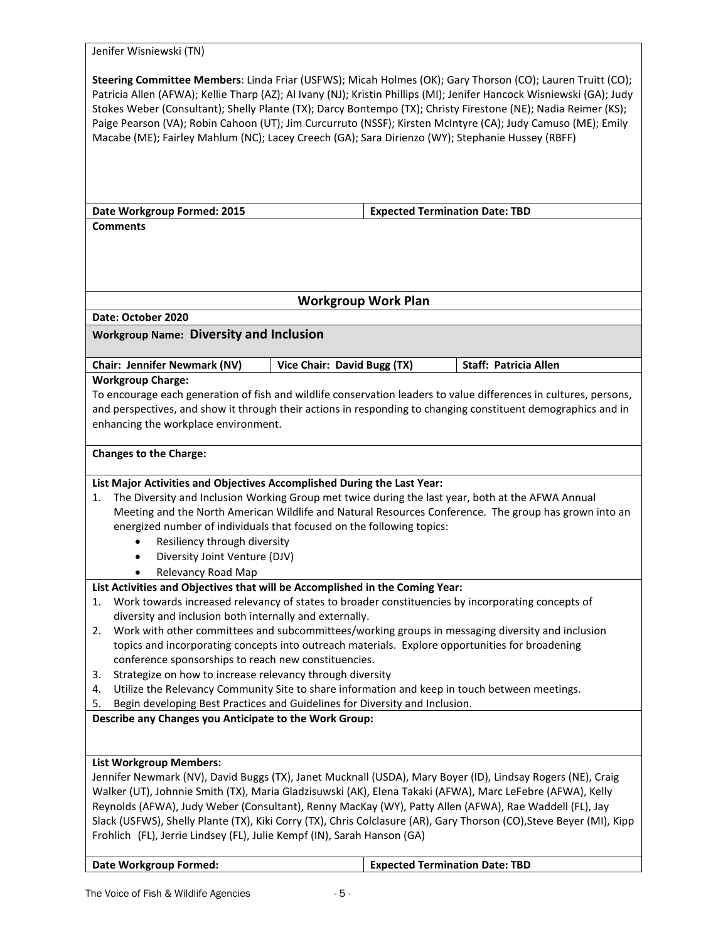| Jenifer Wisniewski (TN)                                                                                                                                                                                                                                                                                                                                                                                                                                                                                                                                                   |                                                                                                                                                                                                                                                                                                                                    |                                                                                                                      |  |
|---------------------------------------------------------------------------------------------------------------------------------------------------------------------------------------------------------------------------------------------------------------------------------------------------------------------------------------------------------------------------------------------------------------------------------------------------------------------------------------------------------------------------------------------------------------------------|------------------------------------------------------------------------------------------------------------------------------------------------------------------------------------------------------------------------------------------------------------------------------------------------------------------------------------|----------------------------------------------------------------------------------------------------------------------|--|
| Steering Committee Members: Linda Friar (USFWS); Micah Holmes (OK); Gary Thorson (CO); Lauren Truitt (CO);<br>Patricia Allen (AFWA); Kellie Tharp (AZ); Al Ivany (NJ); Kristin Phillips (MI); Jenifer Hancock Wisniewski (GA); Judy<br>Stokes Weber (Consultant); Shelly Plante (TX); Darcy Bontempo (TX); Christy Firestone (NE); Nadia Reimer (KS);<br>Paige Pearson (VA); Robin Cahoon (UT); Jim Curcurruto (NSSF); Kirsten McIntyre (CA); Judy Camuso (ME); Emily<br>Macabe (ME); Fairley Mahlum (NC); Lacey Creech (GA); Sara Dirienzo (WY); Stephanie Hussey (RBFF) |                                                                                                                                                                                                                                                                                                                                    |                                                                                                                      |  |
| Date Workgroup Formed: 2015                                                                                                                                                                                                                                                                                                                                                                                                                                                                                                                                               | <b>Expected Termination Date: TBD</b>                                                                                                                                                                                                                                                                                              |                                                                                                                      |  |
| <b>Comments</b>                                                                                                                                                                                                                                                                                                                                                                                                                                                                                                                                                           |                                                                                                                                                                                                                                                                                                                                    |                                                                                                                      |  |
|                                                                                                                                                                                                                                                                                                                                                                                                                                                                                                                                                                           | <b>Workgroup Work Plan</b>                                                                                                                                                                                                                                                                                                         |                                                                                                                      |  |
| Date: October 2020                                                                                                                                                                                                                                                                                                                                                                                                                                                                                                                                                        |                                                                                                                                                                                                                                                                                                                                    |                                                                                                                      |  |
| <b>Workgroup Name: Diversity and Inclusion</b>                                                                                                                                                                                                                                                                                                                                                                                                                                                                                                                            |                                                                                                                                                                                                                                                                                                                                    |                                                                                                                      |  |
| Chair: Jennifer Newmark (NV)                                                                                                                                                                                                                                                                                                                                                                                                                                                                                                                                              | Vice Chair: David Bugg (TX)                                                                                                                                                                                                                                                                                                        | <b>Staff: Patricia Allen</b>                                                                                         |  |
| <b>Workgroup Charge:</b><br>To encourage each generation of fish and wildlife conservation leaders to value differences in cultures, persons,<br>and perspectives, and show it through their actions in responding to changing constituent demographics and in<br>enhancing the workplace environment.                                                                                                                                                                                                                                                                    |                                                                                                                                                                                                                                                                                                                                    |                                                                                                                      |  |
| <b>Changes to the Charge:</b>                                                                                                                                                                                                                                                                                                                                                                                                                                                                                                                                             |                                                                                                                                                                                                                                                                                                                                    |                                                                                                                      |  |
| List Major Activities and Objectives Accomplished During the Last Year:<br>1.<br>Resiliency through diversity<br>Diversity Joint Venture (DJV)<br>Relevancy Road Map<br>٠                                                                                                                                                                                                                                                                                                                                                                                                 | The Diversity and Inclusion Working Group met twice during the last year, both at the AFWA Annual<br>Meeting and the North American Wildlife and Natural Resources Conference. The group has grown into an<br>energized number of individuals that focused on the following topics:                                                |                                                                                                                      |  |
|                                                                                                                                                                                                                                                                                                                                                                                                                                                                                                                                                                           | List Activities and Objectives that will be Accomplished in the Coming Year:                                                                                                                                                                                                                                                       |                                                                                                                      |  |
| 1.<br>diversity and inclusion both internally and externally.                                                                                                                                                                                                                                                                                                                                                                                                                                                                                                             | Work towards increased relevancy of states to broader constituencies by incorporating concepts of                                                                                                                                                                                                                                  |                                                                                                                      |  |
| Work with other committees and subcommittees/working groups in messaging diversity and inclusion<br>2.<br>topics and incorporating concepts into outreach materials. Explore opportunities for broadening<br>conference sponsorships to reach new constituencies.                                                                                                                                                                                                                                                                                                         |                                                                                                                                                                                                                                                                                                                                    |                                                                                                                      |  |
| Strategize on how to increase relevancy through diversity<br>3.<br>Utilize the Relevancy Community Site to share information and keep in touch between meetings.<br>4.<br>Begin developing Best Practices and Guidelines for Diversity and Inclusion.<br>5.                                                                                                                                                                                                                                                                                                               |                                                                                                                                                                                                                                                                                                                                    |                                                                                                                      |  |
| Describe any Changes you Anticipate to the Work Group:                                                                                                                                                                                                                                                                                                                                                                                                                                                                                                                    |                                                                                                                                                                                                                                                                                                                                    |                                                                                                                      |  |
| <b>List Workgroup Members:</b><br>Frohlich (FL), Jerrie Lindsey (FL), Julie Kempf (IN), Sarah Hanson (GA)                                                                                                                                                                                                                                                                                                                                                                                                                                                                 | Jennifer Newmark (NV), David Buggs (TX), Janet Mucknall (USDA), Mary Boyer (ID), Lindsay Rogers (NE), Craig<br>Walker (UT), Johnnie Smith (TX), Maria Gladzisuwski (AK), Elena Takaki (AFWA), Marc LeFebre (AFWA), Kelly<br>Reynolds (AFWA), Judy Weber (Consultant), Renny MacKay (WY), Patty Allen (AFWA), Rae Waddell (FL), Jay | Slack (USFWS), Shelly Plante (TX), Kiki Corry (TX), Chris Colclasure (AR), Gary Thorson (CO), Steve Beyer (MI), Kipp |  |
| <b>Date Workgroup Formed:</b>                                                                                                                                                                                                                                                                                                                                                                                                                                                                                                                                             | <b>Expected Termination Date: TBD</b>                                                                                                                                                                                                                                                                                              |                                                                                                                      |  |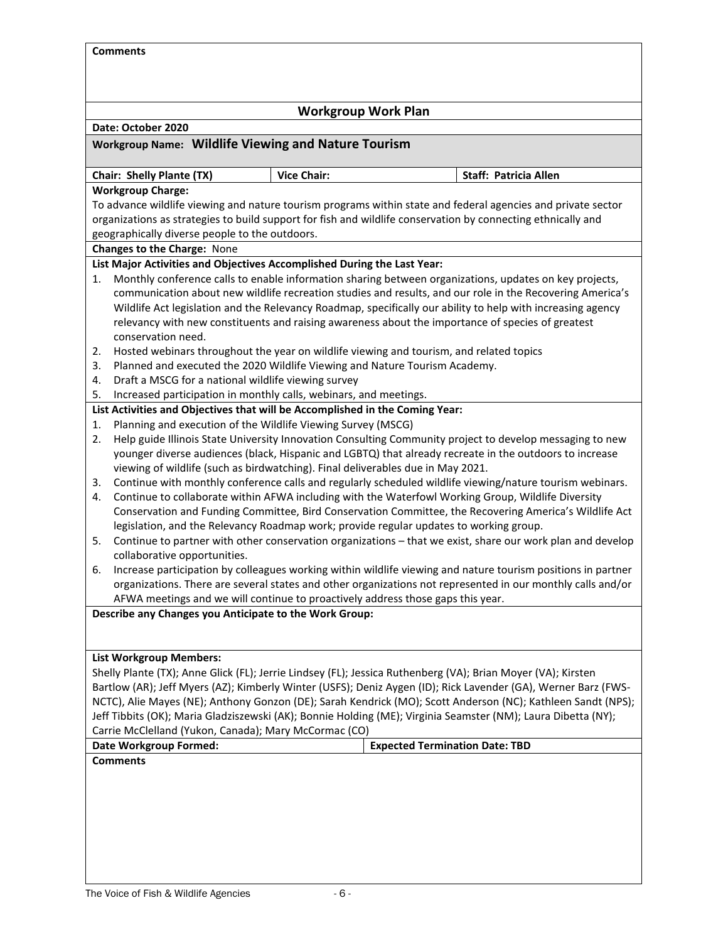| <b>Comments</b>                                                                                                                                                                                              |                                                                            |                                                                                                                                                                                                                                |  |  |
|--------------------------------------------------------------------------------------------------------------------------------------------------------------------------------------------------------------|----------------------------------------------------------------------------|--------------------------------------------------------------------------------------------------------------------------------------------------------------------------------------------------------------------------------|--|--|
|                                                                                                                                                                                                              | <b>Workgroup Work Plan</b>                                                 |                                                                                                                                                                                                                                |  |  |
| Date: October 2020                                                                                                                                                                                           |                                                                            |                                                                                                                                                                                                                                |  |  |
| <b>Workgroup Name: Wildlife Viewing and Nature Tourism</b>                                                                                                                                                   |                                                                            |                                                                                                                                                                                                                                |  |  |
| Chair: Shelly Plante (TX)                                                                                                                                                                                    | <b>Vice Chair:</b>                                                         | <b>Staff: Patricia Allen</b>                                                                                                                                                                                                   |  |  |
| <b>Workgroup Charge:</b>                                                                                                                                                                                     |                                                                            |                                                                                                                                                                                                                                |  |  |
|                                                                                                                                                                                                              |                                                                            | To advance wildlife viewing and nature tourism programs within state and federal agencies and private sector                                                                                                                   |  |  |
|                                                                                                                                                                                                              |                                                                            | organizations as strategies to build support for fish and wildlife conservation by connecting ethnically and                                                                                                                   |  |  |
| geographically diverse people to the outdoors.                                                                                                                                                               |                                                                            |                                                                                                                                                                                                                                |  |  |
| Changes to the Charge: None                                                                                                                                                                                  |                                                                            |                                                                                                                                                                                                                                |  |  |
| List Major Activities and Objectives Accomplished During the Last Year:                                                                                                                                      |                                                                            |                                                                                                                                                                                                                                |  |  |
| 1.                                                                                                                                                                                                           |                                                                            | Monthly conference calls to enable information sharing between organizations, updates on key projects,                                                                                                                         |  |  |
|                                                                                                                                                                                                              |                                                                            | communication about new wildlife recreation studies and results, and our role in the Recovering America's                                                                                                                      |  |  |
|                                                                                                                                                                                                              |                                                                            | Wildlife Act legislation and the Relevancy Roadmap, specifically our ability to help with increasing agency                                                                                                                    |  |  |
|                                                                                                                                                                                                              |                                                                            | relevancy with new constituents and raising awareness about the importance of species of greatest                                                                                                                              |  |  |
| conservation need.                                                                                                                                                                                           |                                                                            |                                                                                                                                                                                                                                |  |  |
| 2.                                                                                                                                                                                                           |                                                                            | Hosted webinars throughout the year on wildlife viewing and tourism, and related topics                                                                                                                                        |  |  |
| 3.                                                                                                                                                                                                           | Planned and executed the 2020 Wildlife Viewing and Nature Tourism Academy. |                                                                                                                                                                                                                                |  |  |
| Draft a MSCG for a national wildlife viewing survey<br>4.                                                                                                                                                    |                                                                            |                                                                                                                                                                                                                                |  |  |
| 5.                                                                                                                                                                                                           | Increased participation in monthly calls, webinars, and meetings.          |                                                                                                                                                                                                                                |  |  |
| List Activities and Objectives that will be Accomplished in the Coming Year:                                                                                                                                 |                                                                            |                                                                                                                                                                                                                                |  |  |
| 1.                                                                                                                                                                                                           | Planning and execution of the Wildlife Viewing Survey (MSCG)               |                                                                                                                                                                                                                                |  |  |
| 2.                                                                                                                                                                                                           |                                                                            | Help guide Illinois State University Innovation Consulting Community project to develop messaging to new                                                                                                                       |  |  |
| younger diverse audiences (black, Hispanic and LGBTQ) that already recreate in the outdoors to increase                                                                                                      |                                                                            |                                                                                                                                                                                                                                |  |  |
| viewing of wildlife (such as birdwatching). Final deliverables due in May 2021.<br>Continue with monthly conference calls and regularly scheduled wildlife viewing/nature tourism webinars.<br>3.            |                                                                            |                                                                                                                                                                                                                                |  |  |
| 4.                                                                                                                                                                                                           |                                                                            |                                                                                                                                                                                                                                |  |  |
| Continue to collaborate within AFWA including with the Waterfowl Working Group, Wildlife Diversity<br>Conservation and Funding Committee, Bird Conservation Committee, the Recovering America's Wildlife Act |                                                                            |                                                                                                                                                                                                                                |  |  |
|                                                                                                                                                                                                              |                                                                            | legislation, and the Relevancy Roadmap work; provide regular updates to working group.                                                                                                                                         |  |  |
| 5.                                                                                                                                                                                                           |                                                                            | Continue to partner with other conservation organizations - that we exist, share our work plan and develop                                                                                                                     |  |  |
| collaborative opportunities.                                                                                                                                                                                 |                                                                            |                                                                                                                                                                                                                                |  |  |
| Increase participation by colleagues working within wildlife viewing and nature tourism positions in partner<br>6.                                                                                           |                                                                            |                                                                                                                                                                                                                                |  |  |
| organizations. There are several states and other organizations not represented in our monthly calls and/or                                                                                                  |                                                                            |                                                                                                                                                                                                                                |  |  |
| AFWA meetings and we will continue to proactively address those gaps this year.                                                                                                                              |                                                                            |                                                                                                                                                                                                                                |  |  |
| Describe any Changes you Anticipate to the Work Group:                                                                                                                                                       |                                                                            |                                                                                                                                                                                                                                |  |  |
|                                                                                                                                                                                                              |                                                                            |                                                                                                                                                                                                                                |  |  |
|                                                                                                                                                                                                              |                                                                            |                                                                                                                                                                                                                                |  |  |
| <b>List Workgroup Members:</b>                                                                                                                                                                               |                                                                            | Shelly Plante (TX); Anne Glick (FL); Jerrie Lindsey (FL); Jessica Ruthenberg (VA); Brian Moyer (VA); Kirsten                                                                                                                   |  |  |
|                                                                                                                                                                                                              |                                                                            |                                                                                                                                                                                                                                |  |  |
|                                                                                                                                                                                                              |                                                                            | Bartlow (AR); Jeff Myers (AZ); Kimberly Winter (USFS); Deniz Aygen (ID); Rick Lavender (GA), Werner Barz (FWS-<br>NCTC), Alie Mayes (NE); Anthony Gonzon (DE); Sarah Kendrick (MO); Scott Anderson (NC); Kathleen Sandt (NPS); |  |  |
|                                                                                                                                                                                                              |                                                                            | Jeff Tibbits (OK); Maria Gladziszewski (AK); Bonnie Holding (ME); Virginia Seamster (NM); Laura Dibetta (NY);                                                                                                                  |  |  |
| Carrie McClelland (Yukon, Canada); Mary McCormac (CO)                                                                                                                                                        |                                                                            |                                                                                                                                                                                                                                |  |  |
| <b>Date Workgroup Formed:</b>                                                                                                                                                                                |                                                                            | <b>Expected Termination Date: TBD</b>                                                                                                                                                                                          |  |  |
| <b>Comments</b>                                                                                                                                                                                              |                                                                            |                                                                                                                                                                                                                                |  |  |
|                                                                                                                                                                                                              |                                                                            |                                                                                                                                                                                                                                |  |  |
|                                                                                                                                                                                                              |                                                                            |                                                                                                                                                                                                                                |  |  |
|                                                                                                                                                                                                              |                                                                            |                                                                                                                                                                                                                                |  |  |
|                                                                                                                                                                                                              |                                                                            |                                                                                                                                                                                                                                |  |  |
|                                                                                                                                                                                                              |                                                                            |                                                                                                                                                                                                                                |  |  |
|                                                                                                                                                                                                              |                                                                            |                                                                                                                                                                                                                                |  |  |